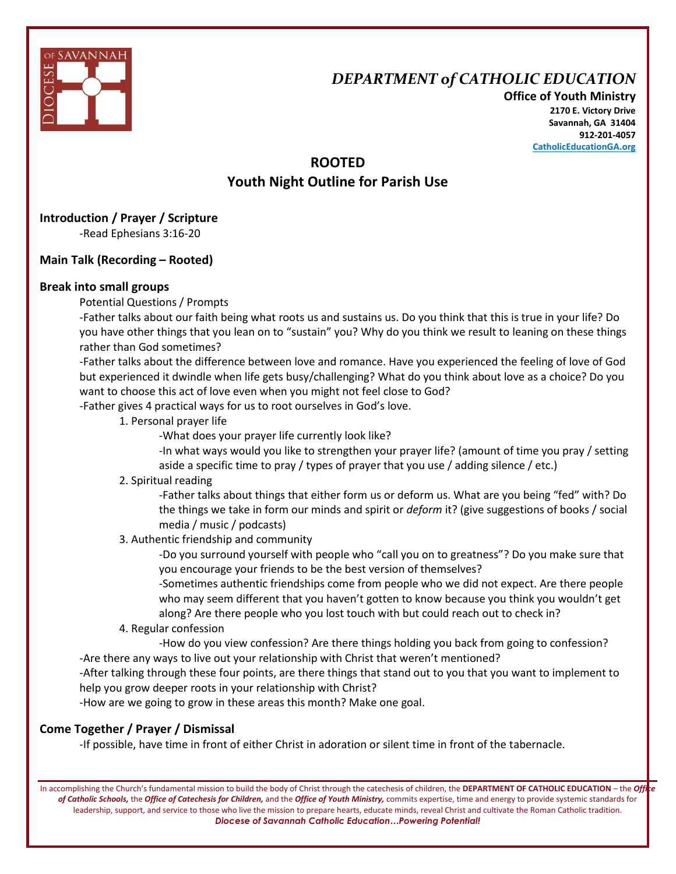

# *DEPARTMENT of CATHOLIC EDUCATION*

**Office of Youth Ministry 2170 E. Victory Drive Savannah, GA 31404 912-201-4057 CatholicEducationGA.org**

## **ROOTED Youth Night Outline for Parish Use**

### **Introduction / Prayer / Scripture**

-Read Ephesians 3:16-20

### **Main Talk (Recording – Rooted)**

#### **Break into small groups**

Potential Questions / Prompts

-Father talks about our faith being what roots us and sustains us. Do you think that this is true in your life? Do you have other things that you lean on to "sustain" you? Why do you think we result to leaning on these things rather than God sometimes?

-Father talks about the difference between love and romance. Have you experienced the feeling of love of God but experienced it dwindle when life gets busy/challenging? What do you think about love as a choice? Do you want to choose this act of love even when you might not feel close to God?

-Father gives 4 practical ways for us to root ourselves in God's love.

1. Personal prayer life

-What does your prayer life currently look like?

-In what ways would you like to strengthen your prayer life? (amount of time you pray / setting aside a specific time to pray / types of prayer that you use / adding silence / etc.)

### 2. Spiritual reading

-Father talks about things that either form us or deform us. What are you being "fed" with? Do the things we take in form our minds and spirit or *deform* it? (give suggestions of books / social media / music / podcasts)

### 3. Authentic friendship and community

-Do you surround yourself with people who "call you on to greatness"? Do you make sure that you encourage your friends to be the best version of themselves?

-Sometimes authentic friendships come from people who we did not expect. Are there people who may seem different that you haven't gotten to know because you think you wouldn't get along? Are there people who you lost touch with but could reach out to check in?

#### 4. Regular confession

-How do you view confession? Are there things holding you back from going to confession? -Are there any ways to live out your relationship with Christ that weren't mentioned?

-After talking through these four points, are there things that stand out to you that you want to implement to help you grow deeper roots in your relationship with Christ?

-How are we going to grow in these areas this month? Make one goal.

### **Come Together / Prayer / Dismissal**

-If possible, have time in front of either Christ in adoration or silent time in front of the tabernacle.

In accomplishing the Church's fundamental mission to build the body of Christ through the catechesis of children, the **DEPARTMENT OF CATHOLIC EDUCATION** – the *Office of Catholic Schools,* the *Office of Catechesis for Children,* and the *Office of Youth Ministry,* commits expertise, time and energy to provide systemic standards for leadership, support, and service to those who live the mission to prepare hearts, educate minds, reveal Christ and cultivate the Roman Catholic tradition. *Diocese of Savannah Catholic Education…Powering Potential!*